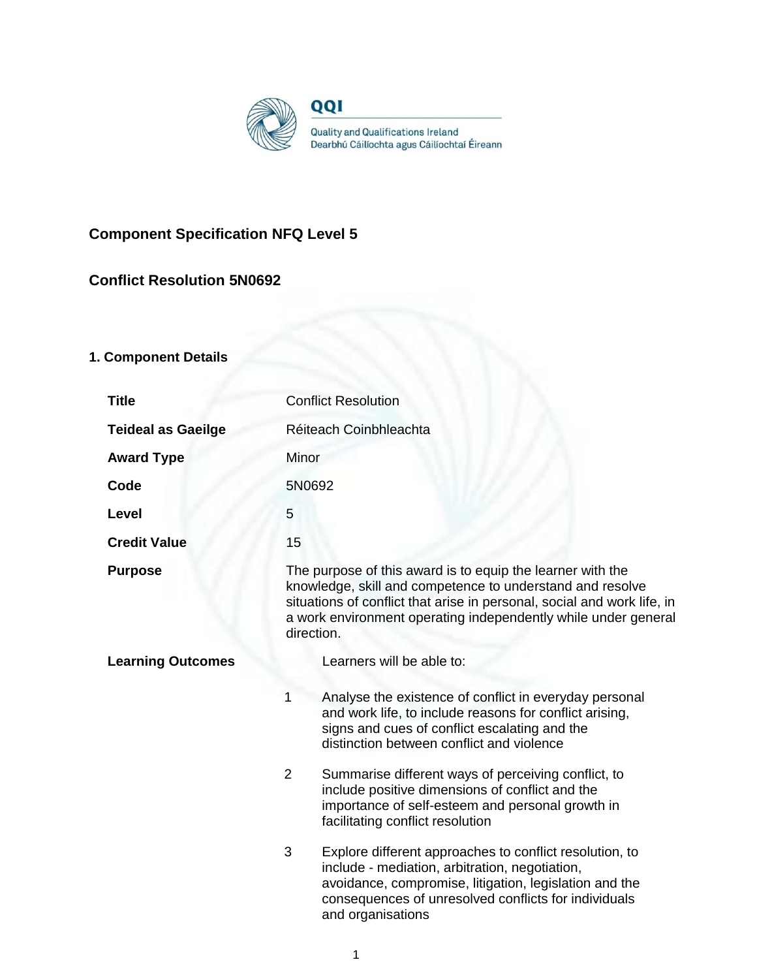

# **Component Specification NFQ Level 5**

# **Conflict Resolution 5N0692**

# **1. Component Details**

| <b>Title</b>              | <b>Conflict Resolution</b>                                                                                                                                                                                                                                                         |  |
|---------------------------|------------------------------------------------------------------------------------------------------------------------------------------------------------------------------------------------------------------------------------------------------------------------------------|--|
| <b>Teideal as Gaeilge</b> | Réiteach Coinbhleachta                                                                                                                                                                                                                                                             |  |
| <b>Award Type</b>         | Minor                                                                                                                                                                                                                                                                              |  |
| Code                      | 5N0692                                                                                                                                                                                                                                                                             |  |
| Level                     | 5                                                                                                                                                                                                                                                                                  |  |
| <b>Credit Value</b>       | 15                                                                                                                                                                                                                                                                                 |  |
| <b>Purpose</b>            | The purpose of this award is to equip the learner with the<br>knowledge, skill and competence to understand and resolve<br>situations of conflict that arise in personal, social and work life, in<br>a work environment operating independently while under general<br>direction. |  |
| <b>Learning Outcomes</b>  | Learners will be able to:                                                                                                                                                                                                                                                          |  |
|                           | 1<br>Analyse the existence of conflict in everyday personal<br>and work life, to include reasons for conflict arising,<br>signs and cues of conflict escalating and the<br>distinction between conflict and violence                                                               |  |
|                           | $\overline{2}$<br>Summarise different ways of perceiving conflict, to<br>include positive dimensions of conflict and the<br>importance of self-esteem and personal growth in<br>facilitating conflict resolution                                                                   |  |
|                           | 3<br>Explore different approaches to conflict resolution, to<br>include - mediation, arbitration, negotiation,<br>avoidance, compromise, litigation, legislation and the<br>consequences of unresolved conflicts for individuals<br>and organisations                              |  |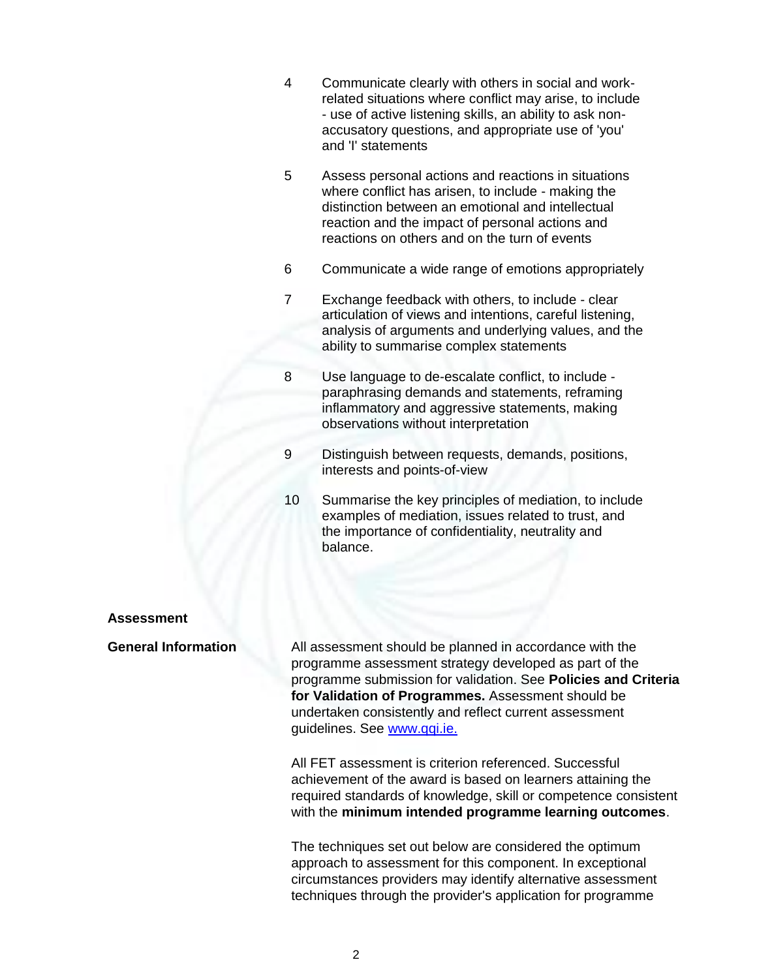- 4 Communicate clearly with others in social and workrelated situations where conflict may arise, to include - use of active listening skills, an ability to ask nonaccusatory questions, and appropriate use of 'you' and 'I' statements
- 5 Assess personal actions and reactions in situations where conflict has arisen, to include - making the distinction between an emotional and intellectual reaction and the impact of personal actions and reactions on others and on the turn of events
- 6 Communicate a wide range of emotions appropriately
- 7 Exchange feedback with others, to include clear articulation of views and intentions, careful listening, analysis of arguments and underlying values, and the ability to summarise complex statements
- 8 Use language to de-escalate conflict, to include paraphrasing demands and statements, reframing inflammatory and aggressive statements, making observations without interpretation
- 9 Distinguish between requests, demands, positions, interests and points-of-view
- 10 Summarise the key principles of mediation, to include examples of mediation, issues related to trust, and the importance of confidentiality, neutrality and balance.

#### **Assessment**

**General Information** All assessment should be planned in accordance with the programme assessment strategy developed as part of the programme submission for validation. See **Policies and Criteria for Validation of Programmes.** Assessment should be undertaken consistently and reflect current assessment guidelines. See [www.qqi.ie.](http://www.qqi.ie/) 

> All FET assessment is criterion referenced. Successful achievement of the award is based on learners attaining the required standards of knowledge, skill or competence consistent with the **minimum intended programme learning outcomes**.

The techniques set out below are considered the optimum approach to assessment for this component. In exceptional circumstances providers may identify alternative assessment techniques through the provider's application for programme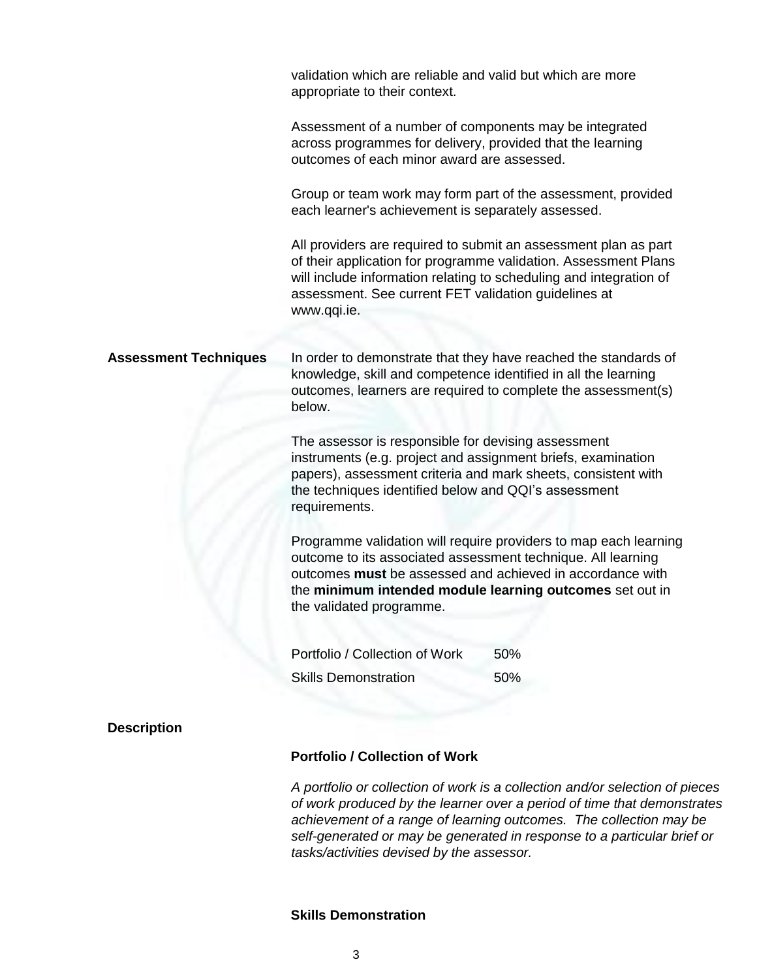|                              | validation which are reliable and valid but which are more<br>appropriate to their context.                                                                                                                                                                   |                                                                                                                                                                                                          |
|------------------------------|---------------------------------------------------------------------------------------------------------------------------------------------------------------------------------------------------------------------------------------------------------------|----------------------------------------------------------------------------------------------------------------------------------------------------------------------------------------------------------|
|                              | Assessment of a number of components may be integrated<br>across programmes for delivery, provided that the learning<br>outcomes of each minor award are assessed.                                                                                            |                                                                                                                                                                                                          |
|                              | each learner's achievement is separately assessed.                                                                                                                                                                                                            | Group or team work may form part of the assessment, provided                                                                                                                                             |
|                              | assessment. See current FET validation guidelines at<br>www.qqi.ie.                                                                                                                                                                                           | All providers are required to submit an assessment plan as part<br>of their application for programme validation. Assessment Plans<br>will include information relating to scheduling and integration of |
| <b>Assessment Techniques</b> | knowledge, skill and competence identified in all the learning<br>below.                                                                                                                                                                                      | In order to demonstrate that they have reached the standards of<br>outcomes, learners are required to complete the assessment(s)                                                                         |
|                              | The assessor is responsible for devising assessment<br>instruments (e.g. project and assignment briefs, examination<br>papers), assessment criteria and mark sheets, consistent with<br>the techniques identified below and QQI's assessment<br>requirements. |                                                                                                                                                                                                          |
|                              | outcome to its associated assessment technique. All learning<br>outcomes must be assessed and achieved in accordance with<br>the validated programme.                                                                                                         | Programme validation will require providers to map each learning<br>the minimum intended module learning outcomes set out in                                                                             |
|                              | Portfolio / Collection of Work                                                                                                                                                                                                                                | 50%                                                                                                                                                                                                      |
|                              | <b>Skills Demonstration</b>                                                                                                                                                                                                                                   | 50%                                                                                                                                                                                                      |
| <b>Description</b>           |                                                                                                                                                                                                                                                               |                                                                                                                                                                                                          |
|                              | <b>Portfolio / Collection of Work</b>                                                                                                                                                                                                                         |                                                                                                                                                                                                          |
|                              |                                                                                                                                                                                                                                                               | A portfolio or collection of work is a collection and/or selection of pic                                                                                                                                |

*A portfolio or collection of work is a collection and/or selection of pieces of work produced by the learner over a period of time that demonstrates achievement of a range of learning outcomes. The collection may be self-generated or may be generated in response to a particular brief or tasks/activities devised by the assessor.*

# **Skills Demonstration**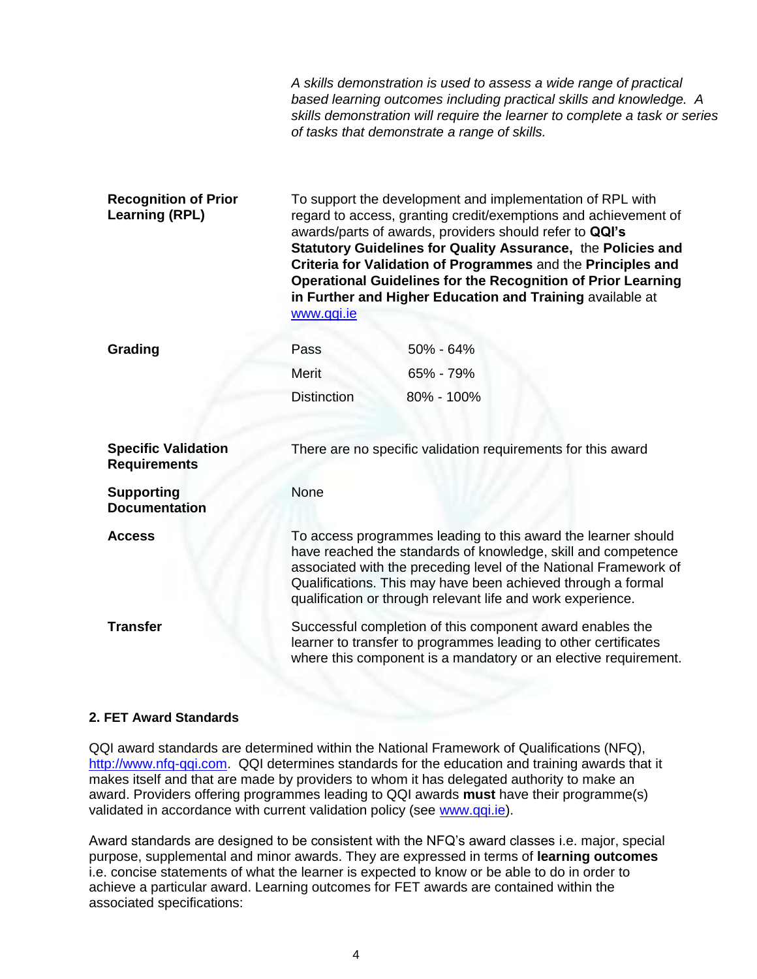|                                                      |                                                                                                                                                                                                                                                                                                                                   | A skills demonstration is used to assess a wide range of practical<br>based learning outcomes including practical skills and knowledge. A<br>skills demonstration will require the learner to complete a task or series<br>of tasks that demonstrate a range of skills.                                                                                                                                                                                     |
|------------------------------------------------------|-----------------------------------------------------------------------------------------------------------------------------------------------------------------------------------------------------------------------------------------------------------------------------------------------------------------------------------|-------------------------------------------------------------------------------------------------------------------------------------------------------------------------------------------------------------------------------------------------------------------------------------------------------------------------------------------------------------------------------------------------------------------------------------------------------------|
| <b>Recognition of Prior</b><br><b>Learning (RPL)</b> | www.qqi.ie                                                                                                                                                                                                                                                                                                                        | To support the development and implementation of RPL with<br>regard to access, granting credit/exemptions and achievement of<br>awards/parts of awards, providers should refer to QQI's<br>Statutory Guidelines for Quality Assurance, the Policies and<br>Criteria for Validation of Programmes and the Principles and<br><b>Operational Guidelines for the Recognition of Prior Learning</b><br>in Further and Higher Education and Training available at |
| Grading                                              | Pass                                                                                                                                                                                                                                                                                                                              | 50% - 64%                                                                                                                                                                                                                                                                                                                                                                                                                                                   |
|                                                      | <b>Merit</b>                                                                                                                                                                                                                                                                                                                      | 65% - 79%                                                                                                                                                                                                                                                                                                                                                                                                                                                   |
|                                                      | <b>Distinction</b>                                                                                                                                                                                                                                                                                                                | 80% - 100%                                                                                                                                                                                                                                                                                                                                                                                                                                                  |
| <b>Specific Validation</b><br><b>Requirements</b>    |                                                                                                                                                                                                                                                                                                                                   | There are no specific validation requirements for this award                                                                                                                                                                                                                                                                                                                                                                                                |
| <b>Supporting</b><br><b>Documentation</b>            | None                                                                                                                                                                                                                                                                                                                              |                                                                                                                                                                                                                                                                                                                                                                                                                                                             |
| <b>Access</b>                                        | To access programmes leading to this award the learner should<br>have reached the standards of knowledge, skill and competence<br>associated with the preceding level of the National Framework of<br>Qualifications. This may have been achieved through a formal<br>qualification or through relevant life and work experience. |                                                                                                                                                                                                                                                                                                                                                                                                                                                             |
| <b>Transfer</b>                                      | Successful completion of this component award enables the<br>learner to transfer to programmes leading to other certificates<br>where this component is a mandatory or an elective requirement.                                                                                                                                   |                                                                                                                                                                                                                                                                                                                                                                                                                                                             |

## **2. FET Award Standards**

QQI award standards are determined within the National Framework of Qualifications (NFQ), [http://www.nfq-qqi.com.](http://www.nfq-qqi.com/) QQI determines standards for the education and training awards that it makes itself and that are made by providers to whom it has delegated authority to make an award. Providers offering programmes leading to QQI awards **must** have their programme(s) validated in accordance with current validation policy (see [www.qqi.ie\)](http://www.qqi.ie/).

Award standards are designed to be consistent with the NFQ's award classes i.e. major, special purpose, supplemental and minor awards. They are expressed in terms of **learning outcomes**  i.e. concise statements of what the learner is expected to know or be able to do in order to achieve a particular award. Learning outcomes for FET awards are contained within the associated specifications: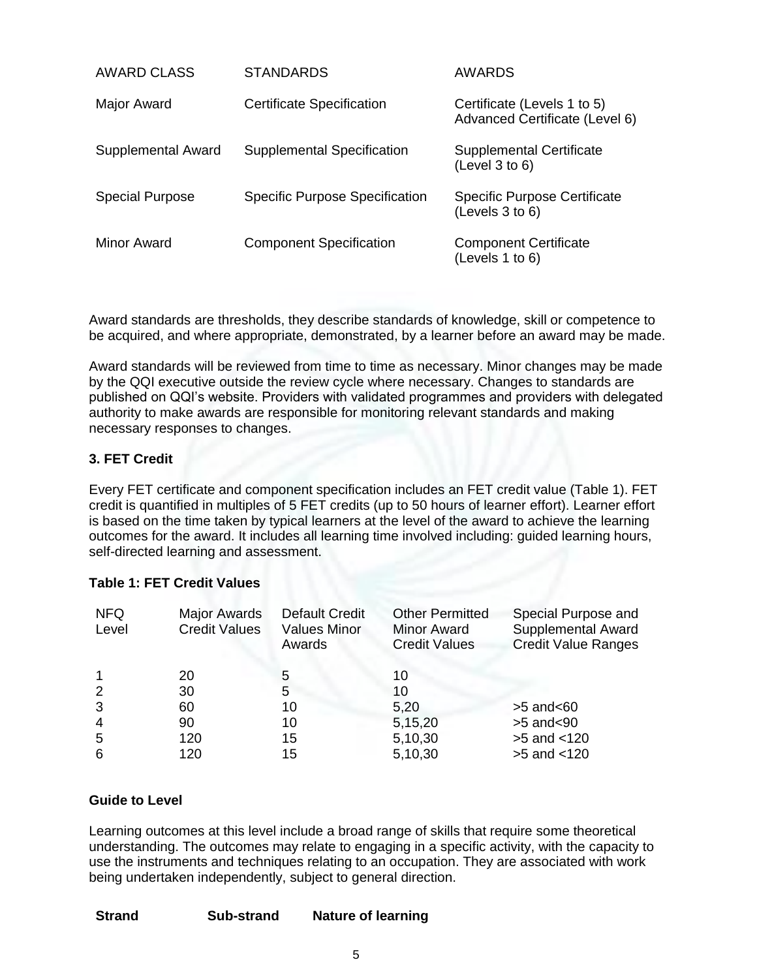| AWARD CLASS            | <b>STANDARDS</b>                      | AWARDS                                                        |
|------------------------|---------------------------------------|---------------------------------------------------------------|
| Major Award            | <b>Certificate Specification</b>      | Certificate (Levels 1 to 5)<br>Advanced Certificate (Level 6) |
| Supplemental Award     | <b>Supplemental Specification</b>     | <b>Supplemental Certificate</b><br>(Level 3 to 6)             |
| <b>Special Purpose</b> | <b>Specific Purpose Specification</b> | <b>Specific Purpose Certificate</b><br>(Levels 3 to 6)        |
| Minor Award            | <b>Component Specification</b>        | <b>Component Certificate</b><br>(Levels 1 to 6)               |

Award standards are thresholds, they describe standards of knowledge, skill or competence to be acquired, and where appropriate, demonstrated, by a learner before an award may be made.

Award standards will be reviewed from time to time as necessary. Minor changes may be made by the QQI executive outside the review cycle where necessary. Changes to standards are published on QQI's website. Providers with validated programmes and providers with delegated authority to make awards are responsible for monitoring relevant standards and making necessary responses to changes.

## **3. FET Credit**

Every FET certificate and component specification includes an FET credit value (Table 1). FET credit is quantified in multiples of 5 FET credits (up to 50 hours of learner effort). Learner effort is based on the time taken by typical learners at the level of the award to achieve the learning outcomes for the award. It includes all learning time involved including: guided learning hours, self-directed learning and assessment.

## **Table 1: FET Credit Values**

| <b>NFQ</b><br>Level | <b>Major Awards</b><br><b>Credit Values</b> | <b>Default Credit</b><br><b>Values Minor</b><br>Awards | <b>Other Permitted</b><br><b>Minor Award</b><br><b>Credit Values</b> | Special Purpose and<br><b>Supplemental Award</b><br><b>Credit Value Ranges</b> |
|---------------------|---------------------------------------------|--------------------------------------------------------|----------------------------------------------------------------------|--------------------------------------------------------------------------------|
|                     | 20                                          | 5                                                      | 10                                                                   |                                                                                |
| $\overline{2}$      | 30                                          | 5                                                      | 10                                                                   |                                                                                |
| 3                   | 60                                          | 10                                                     | 5,20                                                                 | $>5$ and $< 60$                                                                |
| $\overline{4}$      | 90                                          | 10                                                     | 5,15,20                                                              | $>5$ and $< 90$                                                                |
| -5                  | 120                                         | 15                                                     | 5,10,30                                                              | $>5$ and $< 120$                                                               |
| 6                   | 120                                         | 15                                                     | 5,10,30                                                              | >5 and <120                                                                    |

## **Guide to Level**

Learning outcomes at this level include a broad range of skills that require some theoretical understanding. The outcomes may relate to engaging in a specific activity, with the capacity to use the instruments and techniques relating to an occupation. They are associated with work being undertaken independently, subject to general direction.

| <b>Strand</b><br><b>Nature of learning</b><br>Sub-strand |
|----------------------------------------------------------|
|----------------------------------------------------------|